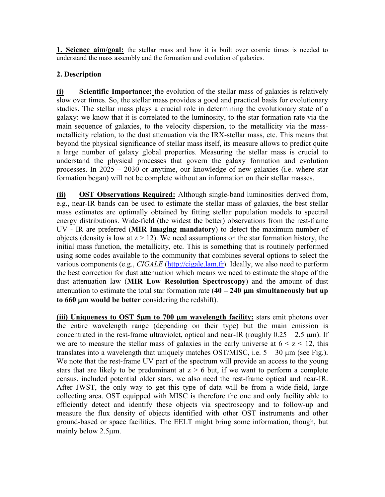**1. Science aim/goal:** the stellar mass and how it is built over cosmic times is needed to understand the mass assembly and the formation and evolution of galaxies.

## **2. Description**

**(i) Scientific Importance:** the evolution of the stellar mass of galaxies is relatively slow over times. So, the stellar mass provides a good and practical basis for evolutionary studies. The stellar mass plays a crucial role in determining the evolutionary state of a galaxy: we know that it is correlated to the luminosity, to the star formation rate via the main sequence of galaxies, to the velocity dispersion, to the metallicity via the massmetallicity relation, to the dust attenuation via the IRX-stellar mass, etc. This means that beyond the physical significance of stellar mass itself, its measure allows to predict quite a large number of galaxy global properties. Measuring the stellar mass is crucial to understand the physical processes that govern the galaxy formation and evolution processes. In 2025 – 2030 or anytime, our knowledge of new galaxies (i.e. where star formation began) will not be complete without an information on their stellar masses.

**(ii) OST Observations Required:** Although single-band luminosities derived from, e.g., near-IR bands can be used to estimate the stellar mass of galaxies, the best stellar mass estimates are optimally obtained by fitting stellar population models to spectral energy distributions. Wide-field (the widest the better) observations from the rest-frame UV - IR are preferred (**MIR Imaging mandatory**) to detect the maximum number of objects (density is low at  $z > 12$ ). We need assumptions on the star formation history, the initial mass function, the metallicity, etc. This is something that is routinely performed using some codes available to the community that combines several options to select the various components (e.g., *CIGALE* (http://cigale.lam.fr). Ideally, we also need to perform the best correction for dust attenuation which means we need to estimate the shape of the dust attenuation law (**MIR Low Resolution Spectroscopy**) and the amount of dust attenuation to estimate the total star formation rate  $(40 - 240 \mu m)$  simultaneously but up **to 660** µ**m would be better** considering the redshift).

**(iii) Uniqueness to OST 5**µ**m to 700** µ**m wavelength facility:** stars emit photons over the entire wavelength range (depending on their type) but the main emission is concentrated in the rest-frame ultraviolet, optical and near-IR (roughly  $0.25 - 2.5 \text{ }\mu\text{m}$ ). If we are to measure the stellar mass of galaxies in the early universe at  $6 \le z \le 12$ , this translates into a wavelength that uniquely matches OST/MISC, i.e.  $5 - 30 \mu m$  (see Fig.). We note that the rest-frame UV part of the spectrum will provide an access to the young stars that are likely to be predominant at  $z > 6$  but, if we want to perform a complete census, included potential older stars, we also need the rest-frame optical and near-IR. After JWST, the only way to get this type of data will be from a wide-field, large collecting area. OST equipped with MISC is therefore the one and only facility able to efficiently detect and identify these objects via spectroscopy and to follow-up and measure the flux density of objects identified with other OST instruments and other ground-based or space facilities. The EELT might bring some information, though, but mainly below 2.5µm.